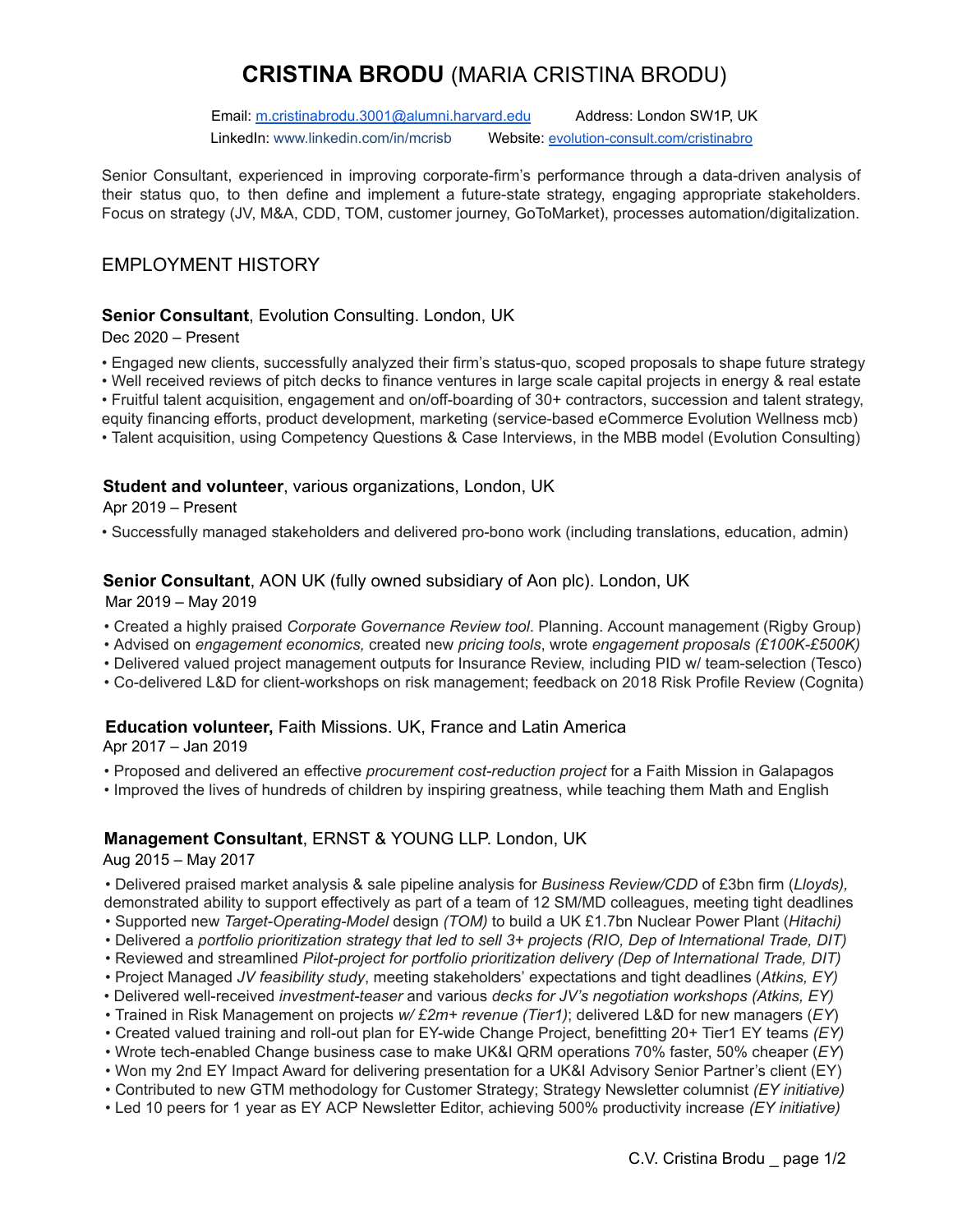# **CRISTINA BRODU** (MARIA CRISTINA BRODU)

Email: [m.cristinabrodu.3001@alumni.harvard.edu](mailto:m.cristinabrodu.3001@alumni.harvard.edu) Address: London SW1P, UK LinkedIn: www.linkedin.com/in/mcrisb Website: [evolution-consult.com/cristinabro](http://www.evolution-consult.com/cristinabro)

Senior Consultant, experienced in improving corporate-firm's performance through a data-driven analysis of their status quo, to then define and implement a future-state strategy, engaging appropriate stakeholders. Focus on strategy (JV, M&A, CDD, TOM, customer journey, GoToMarket), processes automation/digitalization.

## EMPLOYMENT HISTORY

## **Senior Consultant**, Evolution Consulting. London, UK

Dec 2020 – Present

• Engaged new clients, successfully analyzed their firm's status-quo, scoped proposals to shape future strategy

• Well received reviews of pitch decks to finance ventures in large scale capital projects in energy & real estate

• Fruitful talent acquisition, engagement and on/off-boarding of 30+ contractors, succession and talent strategy,

equity financing efforts, product development, marketing (service-based eCommerce Evolution Wellness mcb)

• Talent acquisition, using Competency Questions & Case Interviews, in the MBB model (Evolution Consulting)

## **Student and volunteer**, various organizations, London, UK

Apr 2019 – Present

• Successfully managed stakeholders and delivered pro-bono work (including translations, education, admin)

### **Senior Consultant**, AON UK (fully owned subsidiary of Aon plc). London, UK

Mar 2019 – May 2019

- Created a highly praised *Corporate Governance Review tool*. Planning. Account management (Rigby Group)
- Advised on *engagement economics,* created new *pricing tools*, wrote *engagement proposals (£100K-£500K)*
- Delivered valued project management outputs for Insurance Review, including PID w/ team-selection (Tesco)
- Co-delivered L&D for client-workshops on risk management; feedback on 2018 Risk Profile Review (Cognita)

#### **Education volunteer,** Faith Missions. UK, France and Latin America

Apr 2017 – Jan 2019

• Proposed and delivered an effective *procurement cost-reduction project* for a Faith Mission in Galapagos

• Improved the lives of hundreds of children by inspiring greatness, while teaching them Math and English

## **Management Consultant**, ERNST & YOUNG LLP. London, UK

Aug 2015 – May 2017

• Delivered praised market analysis & sale pipeline analysis for *Business Review/CDD* of £3bn firm (*Lloyds),* demonstrated ability to support effectively as part of a team of 12 SM/MD colleagues, meeting tight deadlines

- Supported new *Target-Operating-Model* design *(TOM)* to build a UK £1.7bn Nuclear Power Plant (*Hitachi)*
- Delivered a *portfolio prioritization strategy that led to sell 3+ projects (RIO, Dep of International Trade, DIT)*
- Reviewed and streamlined *Pilot-project for portfolio prioritization delivery (Dep of International Trade, DIT)*
- Project Managed *JV feasibility study*, meeting stakeholders' expectations and tight deadlines (*Atkins, EY)*
- Delivered well-received *investment-teaser* and various *decks for JV's negotiation workshops (Atkins, EY)*
- Trained in Risk Management on projects *w/ £2m+ revenue (Tier1)*; delivered L&D for new managers (*EY*)
- Created valued training and roll-out plan for EY-wide Change Project, benefitting 20+ Tier1 EY teams *(EY)*
- Wrote tech-enabled Change business case to make UK&I QRM operations 70% faster, 50% cheaper (*EY*)
- Won my 2nd EY Impact Award for delivering presentation for a UK&I Advisory Senior Partner's client (EY)
- Contributed to new GTM methodology for Customer Strategy; Strategy Newsletter columnist *(EY initiative)*
- Led 10 peers for 1 year as EY ACP Newsletter Editor, achieving 500% productivity increase *(EY initiative)*